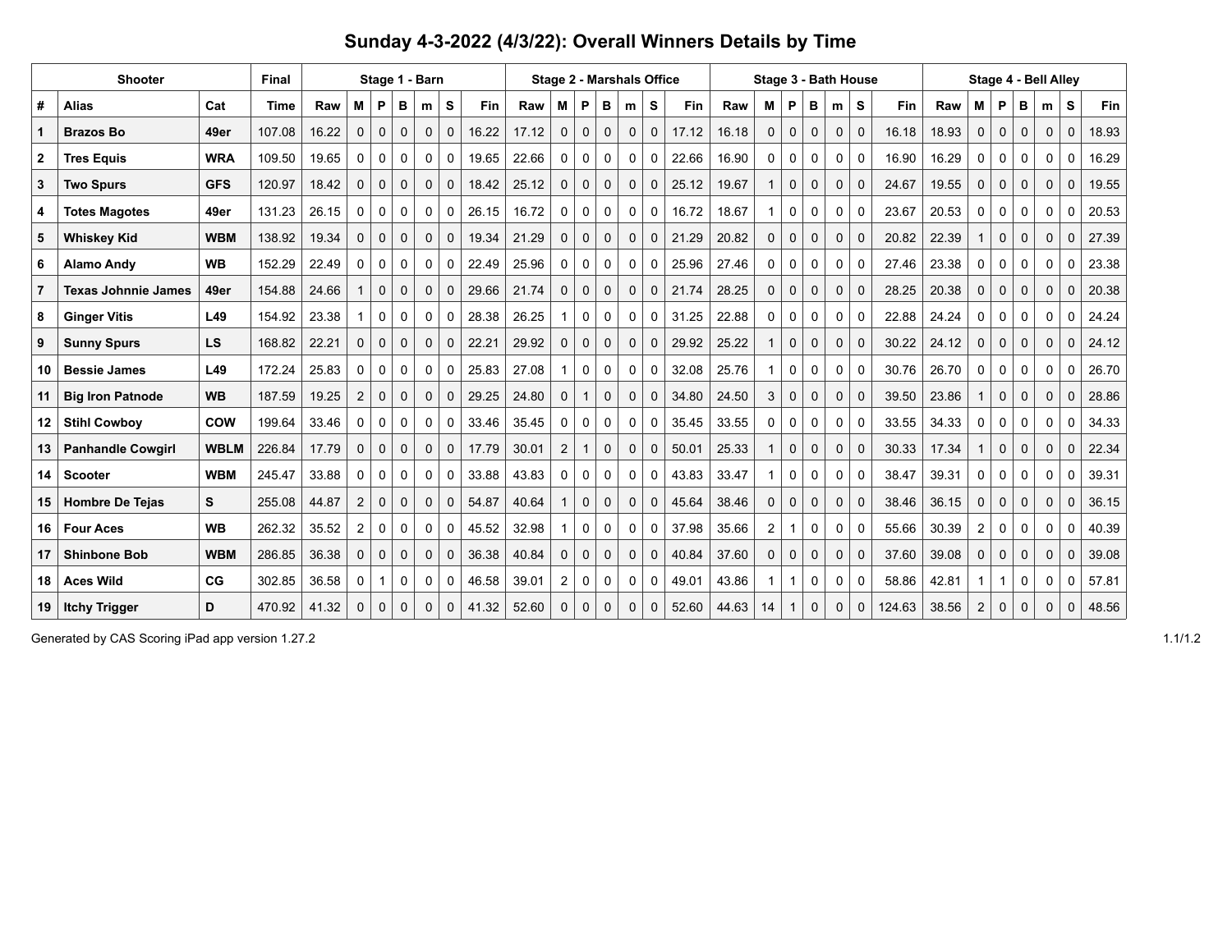## **Sunday 4-3-2022 (4/3/22): Overall Winners Details by Time**

| <b>Shooter</b> |                            |             | <b>Final</b> | Stage 1 - Barn |                |             |              |             |             | <b>Stage 2 - Marshals Office</b> |       |                |              |              |             |             | Stage 3 - Bath House |       |                |              |              |             |             | Stage 4 - Bell Allev |       |          |              |              |             |              |            |
|----------------|----------------------------|-------------|--------------|----------------|----------------|-------------|--------------|-------------|-------------|----------------------------------|-------|----------------|--------------|--------------|-------------|-------------|----------------------|-------|----------------|--------------|--------------|-------------|-------------|----------------------|-------|----------|--------------|--------------|-------------|--------------|------------|
| #              | <b>Alias</b>               | Cat         | <b>Time</b>  | Raw            | м              | P           | в            | m           | s           | Fin                              | Raw   | М              | P            | в            | m           | s           | <b>Fin</b>           | Raw   | М              | P            | в            | m           | S           | Fin                  | Raw   | М        | P            | в            | m           | s            | <b>Fin</b> |
|                | <b>Brazos Bo</b>           | 49er        | 107.08       | 16.22          | $\mathbf{0}$   | $\mathbf 0$ | $\Omega$     | $\mathbf 0$ | $\Omega$    | 16.22                            | 17.12 | $\mathbf 0$    | $\mathbf{0}$ | $\mathbf 0$  | $\mathbf 0$ | $\mathbf 0$ | 17.12                | 16.18 | $\Omega$       | $\Omega$     | $\Omega$     | 0           | $\mathbf 0$ | 16.18                | 18.93 | $\Omega$ | $\Omega$     | $\Omega$     | $\mathbf 0$ | $\Omega$     | 18.93      |
| $\mathbf{2}$   | <b>Tres Equis</b>          | <b>WRA</b>  | 109.50       | 19.65          | 0              | 0           | $\mathbf 0$  | 0           | 0           | 19.65                            | 22.66 | 0              | 0            | $\mathbf 0$  | 0           | $\mathbf 0$ | 22.66                | 16.90 | 0              | 0            | 0            | 0           | $\mathbf 0$ | 16.90                | 16.29 | 0        | 0            | 0            | 0           | $\mathbf 0$  | 16.29      |
| 3              | <b>Two Spurs</b>           | <b>GFS</b>  | 120.97       | 18.42          | $\mathbf 0$    | $\mathbf 0$ | $\mathbf 0$  | $\mathbf 0$ | $\mathbf 0$ | 18.42                            | 25.12 | $\Omega$       | $\mathbf 0$  | $\mathbf 0$  | $\mathbf 0$ | $\Omega$    | 25.12                | 19.67 |                | $\Omega$     | $\Omega$     | 0           | $\Omega$    | 24.67                | 19.55 | $\Omega$ | $\mathbf{0}$ | 0            | $\mathbf 0$ | $\Omega$     | 19.55      |
| 4              | <b>Totes Magotes</b>       | 49er        | 131.23       | 26.15          | 0              | 0           | 0            | 0           | 0           | 26.15                            | 16.72 | 0              | 0            | 0            | 0           | 0           | 16.72                | 18.67 |                | 0            | 0            | 0           | 0           | 23.67                | 20.53 | 0        | 0            | 0            | 0           | $\mathbf 0$  | 20.53      |
| 5              | <b>Whiskey Kid</b>         | <b>WBM</b>  | 138.92       | 19.34          | 0              | 0           | $\mathbf{0}$ | $\mathbf 0$ | $\Omega$    | 19.34                            | 21.29 | $\mathbf 0$    | $\mathbf 0$  | 0            | 0           | $\Omega$    | 21.29                | 20.82 | $\mathbf 0$    | $\mathbf{0}$ | $\Omega$     | 0           | $\mathbf 0$ | 20.82                | 22.39 |          | 0            | 0            | 0           | $\mathbf 0$  | 27.39      |
| 6              | <b>Alamo Andy</b>          | <b>WB</b>   | 152.29       | 22.49          | $\Omega$       | $\Omega$    | $\mathbf{0}$ | $\Omega$    | $\Omega$    | 22.49                            | 25.96 | $\Omega$       | $\mathbf{0}$ | $\Omega$     | 0           | $\Omega$    | 25.96                | 27.46 | $\Omega$       | $\Omega$     | $\Omega$     | 0           | $\Omega$    | 27.46                | 23.38 | $\Omega$ | $\Omega$     | $\Omega$     | 0           | $\Omega$     | 23.38      |
| 7              | <b>Texas Johnnie James</b> | 49er        | 154.88       | 24.66          |                | $\mathbf 0$ | $\mathbf 0$  | $\mathbf 0$ | $\mathbf 0$ | 29.66                            | 21.74 | $\mathbf 0$    | $\mathbf 0$  | $\mathbf 0$  | 0           | $\mathbf 0$ | 21.74                | 28.25 | $\mathbf 0$    | $\mathbf{0}$ | $\mathbf 0$  | 0           | $\mathbf 0$ | 28.25                | 20.38 | $\Omega$ | $\mathbf{0}$ | 0            | $\mathbf 0$ | $\mathbf 0$  | 20.38      |
| 8              | <b>Ginger Vitis</b>        | L49         | 154.92       | 23.38          |                | 0           | $\mathbf{0}$ | 0           | $\Omega$    | 28.38                            | 26.25 |                | 0            | 0            | 0           | $\Omega$    | 31.25                | 22.88 | $\Omega$       | $\Omega$     | 0            | 0           | $\Omega$    | 22.88                | 24.24 | $\Omega$ | $\Omega$     | 0            | 0           | $\mathbf 0$  | 24.24      |
| 9              | <b>Sunny Spurs</b>         | <b>LS</b>   | 168.82       | 22.21          | $\mathbf 0$    | $\mathbf 0$ | $\mathbf 0$  | 0           | $\mathbf 0$ | 22.21                            | 29.92 | $\mathbf 0$    | $\mathbf 0$  | $\mathbf 0$  | 0           | $\mathbf 0$ | 29.92                | 25.22 |                | $\mathbf{0}$ | $\mathbf 0$  | $\mathbf 0$ | $\mathbf 0$ | 30.22                | 24.12 | 0        | $\mathbf{0}$ | 0            | $\mathbf 0$ | $\mathbf{0}$ | 24.12      |
| 10             | <b>Bessie James</b>        | L49         | 172.24       | 25.83          | $\Omega$       | $\mathbf 0$ | $\Omega$     | $\Omega$    | $\Omega$    | 25.83                            | 27.08 |                | $\Omega$     | $\Omega$     | 0           | $\Omega$    | 32.08                | 25.76 |                | $\Omega$     | $\Omega$     | 0           | $\Omega$    | 30.76                | 26.70 | $\Omega$ | $\Omega$     | $\Omega$     | 0           | $\Omega$     | 26.70      |
| 11             | <b>Big Iron Patnode</b>    | <b>WB</b>   | 187.59       | 19.25          | 2              | $\mathbf 0$ | $\Omega$     | $\mathbf 0$ | $\Omega$    | 29.25                            | 24.80 | $\mathbf 0$    |              | $\mathbf 0$  | $\mathbf 0$ | $\Omega$    | 34.80                | 24.50 | 3              | $\mathbf 0$  | $\Omega$     | 0           | $\Omega$    | 39.50                | 23.86 |          | $\mathbf{0}$ | $\Omega$     | $\Omega$    | $\Omega$     | 28.86      |
| 12             | <b>Stihl Cowbov</b>        | <b>COW</b>  | 199.64       | 33.46          | 0              | 0           | 0            | 0           | 0           | 33.46                            | 35.45 | 0              | 0            | 0            | 0           | 0           | 35.45                | 33.55 | 0              | 0            | 0            | 0           | 0           | 33.55                | 34.33 | $\Omega$ | 0            | 0            | 0           | 0            | 34.33      |
| 13             | <b>Panhandle Cowgirl</b>   | <b>WBLM</b> | 226.84       | 17.79          | 0              | $\mathbf 0$ | $\mathbf 0$  | $\mathbf 0$ | $\mathbf 0$ | 17.79                            | 30.01 | 2              |              | $\mathbf 0$  | $\mathbf 0$ | $\mathbf 0$ | 50.01                | 25.33 |                | $\mathbf 0$  | $\mathbf 0$  | 0           | $\Omega$    | 30.33                | 17.34 |          | $\mathbf{0}$ | $\mathbf 0$  | $\mathbf 0$ | $\mathbf 0$  | 22.34      |
| 14             | <b>Scooter</b>             | <b>WBM</b>  | 245.47       | 33.88          | 0              | 0           | 0            | 0           | $\Omega$    | 33.88                            | 43.83 | 0              | $\mathbf 0$  | 0            | 0           | $\mathbf 0$ | 43.83                | 33.47 |                | 0            | $\Omega$     | 0           | $\mathbf 0$ | 38.47                | 39.31 | 0        | 0            | 0            | 0           | 0            | 39.31      |
| 15             | <b>Hombre De Tejas</b>     | S           | 255.08       | 44.87          | 2              | $\Omega$    | $\Omega$     | $\Omega$    | $\Omega$    | 54.87                            | 40.64 |                | $\Omega$     | $\Omega$     | $\Omega$    | $\Omega$    | 45.64                | 38.46 | $\Omega$       | $\Omega$     | $\Omega$     | 0           | $\Omega$    | 38.46                | 36.15 | $\Omega$ | $\Omega$     | $\Omega$     | $\Omega$    | $\Omega$     | 36.15      |
| 16             | <b>Four Aces</b>           | <b>WB</b>   | 262.32       | 35.52          | $\overline{2}$ | 0           | $\mathbf 0$  | $\mathbf 0$ | $\Omega$    | 45.52                            | 32.98 |                | 0            | $\mathbf 0$  | 0           | $\mathbf 0$ | 37.98                | 35.66 | $\overline{2}$ | 1            | $\Omega$     | 0           | $\mathbf 0$ | 55.66                | 30.39 | 2        | 0            | 0            | $\Omega$    | 0            | 40.39      |
| 17             | <b>Shinbone Bob</b>        | <b>WBM</b>  | 286.85       | 36.38          | $\mathbf{0}$   | $\mathbf 0$ | $\Omega$     | $\Omega$    | $\Omega$    | 36.38                            | 40.84 | $\mathbf 0$    | $\Omega$     | $\mathbf{0}$ | $\mathbf 0$ | $\Omega$    | 40.84                | 37.60 | $\Omega$       | $\Omega$     | $\mathbf{0}$ | 0           | $\Omega$    | 37.60                | 39.08 | $\Omega$ | $\Omega$     | $\mathbf{0}$ | $\Omega$    | $\Omega$     | 39.08      |
| 18             | <b>Aces Wild</b>           | CG          | 302.85       | 36.58          | 0              | 1           | 0            | 0           | 0           | 46.58                            | 39.01 | $\overline{2}$ | 0            | 0            | 0           | 0           | 49.01                | 43.86 |                | -1           | 0            | 0           | 0           | 58.86                | 42.81 |          | 1            | 0            | 0           | 0            | 57.81      |
| 19             | <b>Itchy Trigger</b>       | D           | 470.92       | 41.32          | $\mathbf{0}$   | $\mathbf 0$ | $\Omega$     | $\mathbf 0$ | $\Omega$    | 41.32                            | 52.60 | $\Omega$       | $\mathbf{0}$ | $\mathbf{0}$ | 0           | $\Omega$    | 52.60                | 44.63 | 14             |              | $\mathbf{0}$ | 0           | $\Omega$    | 124.63               | 38.56 | 2        | $\Omega$     | $\Omega$     | $\Omega$    | $\Omega$     | 48.56      |

Generated by CAS Scoring iPad app version 1.27.2 1.1/1.2